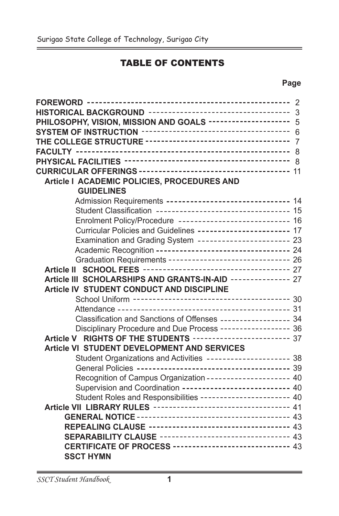## TABLE OF CONTENTS

#### title page of the state of the state of the state of the state of the state of the state of the state of the state of the state of the state of the state of the state of the state of the state of the state of the state of

|                                                                  | 2              |
|------------------------------------------------------------------|----------------|
|                                                                  | 3              |
| PHILOSOPHY, VISION, MISSION AND GOALS ---------------------      | 5              |
|                                                                  | 6              |
|                                                                  | $\overline{7}$ |
|                                                                  | 8              |
|                                                                  | 8              |
|                                                                  |                |
| Article   ACADEMIC POLICIES, PROCEDURES AND                      |                |
| <b>GUIDELINES</b>                                                |                |
| Admission Requirements ------------------------------- 14        |                |
| Student Classification ---------------------------------- 15     |                |
| Enrolment Policy/Procedure ---------------------------- 16       |                |
| Curricular Policies and Guidelines ---------------------- 17     |                |
| Examination and Grading System ----------------------- 23        |                |
| Academic Recognition --------------------------------- 24        |                |
| Graduation Requirements -------------------------------- 26      |                |
|                                                                  |                |
| Article III SCHOLARSHIPS AND GRANTS-IN-AID -------------- 27     |                |
| Article IV STUDENT CONDUCT AND DISCIPLINE                        |                |
|                                                                  |                |
|                                                                  |                |
| Classification and Sanctions of Offenses ------------------ 34   |                |
| Disciplinary Procedure and Due Process ----------------- 36      |                |
| Article V RIGHTS OF THE STUDENTS ------------------------ 37     |                |
| Article VI STUDENT DEVELOPMENT AND SERVICES                      |                |
| Student Organizations and Activities -------------------- 38     |                |
|                                                                  |                |
| Recognition of Campus Organization -------------------- 40       |                |
| Supervision and Coordination --------------------------- 40      |                |
| Student Roles and Responsibilities ----------------------- 40    |                |
| Article VII LIBRARY RULES ----------------------------------- 41 |                |
|                                                                  |                |
|                                                                  |                |
| SEPARABILITY CLAUSE --------------------------------- 43         |                |
| CERTIFICATE OF PROCESS ------------------------------ 43         |                |
| <b>SSCT HYMN</b>                                                 |                |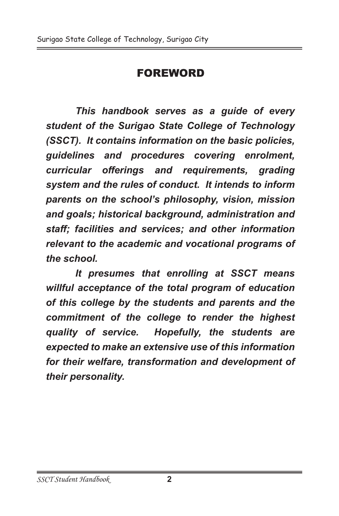## FOREWORD

*This handbook serves as a guide of every student of the Surigao State College of Technology (SSCT). It contains information on the basic policies, guidelines and procedures covering enrolment, curricular offerings and requirements, grading system and the rules of conduct. It intends to inform parents on the school's philosophy, vision, mission and goals; historical background, administration and staff; facilities and services; and other information relevant to the academic and vocational programs of the school.*

*It presumes that enrolling at SSCT means willful acceptance of the total program of education of this college by the students and parents and the commitment of the college to render the highest quality of service. Hopefully, the students are expected to make an extensive use of this information for their welfare, transformation and development of their personality.*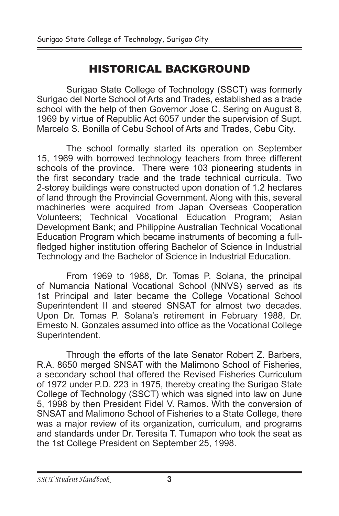## HISTORICAL BACKGROUND

Surigao State College of Technology (SSCT) was formerly Surigao del Norte School of Arts and Trades, established as a trade school with the help of then Governor Jose C. Sering on August 8, 1969 by virtue of Republic Act 6057 under the supervision of Supt. Marcelo S. Bonilla of Cebu School of Arts and Trades, Cebu City.

The school formally started its operation on September 15, 1969 with borrowed technology teachers from three different schools of the province. There were 103 pioneering students in the first secondary trade and the trade technical curricula. Two 2-storey buildings were constructed upon donation of 1.2 hectares of land through the Provincial Government. Along with this, several machineries were acquired from Japan Overseas Cooperation Volunteers; Technical Vocational Education Program; Asian Development Bank; and Philippine Australian Technical Vocational Education Program which became instruments of becoming a fullfledged higher institution offering Bachelor of Science in Industrial Technology and the Bachelor of Science in Industrial Education.

From 1969 to 1988, Dr. Tomas P. Solana, the principal of Numancia National Vocational School (NNVS) served as its 1st Principal and later became the College Vocational School Superintendent II and steered SNSAT for almost two decades. Upon Dr. Tomas P. Solana's retirement in February 1988, Dr. Ernesto N. Gonzales assumed into office as the Vocational College Superintendent.

Through the efforts of the late Senator Robert Z. Barbers, R.A. 8650 merged SNSAT with the Malimono School of Fisheries, a secondary school that offered the Revised Fisheries Curriculum of 1972 under P.D. 223 in 1975, thereby creating the Surigao State College of Technology (SSCT) which was signed into law on June 5, 1998 by then President Fidel V. Ramos. With the conversion of SNSAT and Malimono School of Fisheries to a State College, there was a major review of its organization, curriculum, and programs and standards under Dr. Teresita T. Tumapon who took the seat as the 1st College President on September 25, 1998.

*SSCT Student Handbook* **3**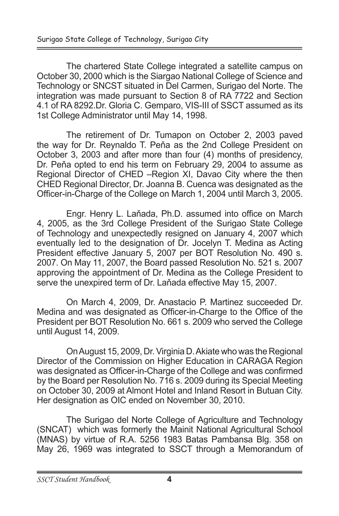The chartered State College integrated a satellite campus on October 30, 2000 which is the Siargao National College of Science and Technology or SNCST situated in Del Carmen, Surigao del Norte. The integration was made pursuant to Section 8 of RA 7722 and Section 4.1 of RA 8292.Dr. Gloria C. Gemparo, VIS-III of SSCT assumed as its 1st College Administrator until May 14, 1998.

The retirement of Dr. Tumapon on October 2, 2003 paved the way for Dr. Reynaldo T. Peňa as the 2nd College President on October 3, 2003 and after more than four (4) months of presidency, Dr. Peňa opted to end his term on February 29, 2004 to assume as Regional Director of CHED –Region XI, Davao City where the then CHED Regional Director, Dr. Joanna B. Cuenca was designated as the Officer-in-Charge of the College on March 1, 2004 until March 3, 2005.

Engr. Henry L. Laňada, Ph.D. assumed into office on March 4, 2005, as the 3rd College President of the Surigao State College of Technology and unexpectedly resigned on January 4, 2007 which eventually led to the designation of Dr. Jocelyn T. Medina as Acting President effective January 5, 2007 per BOT Resolution No. 490 s. 2007. On May 11, 2007, the Board passed Resolution No. 521 s. 2007 approving the appointment of Dr. Medina as the College President to serve the unexpired term of Dr. Laňada effective May 15, 2007.

On March 4, 2009, Dr. Anastacio P. Martinez succeeded Dr. Medina and was designated as Officer-in-Charge to the Office of the President per BOT Resolution No. 661 s. 2009 who served the College until August 14, 2009.

On August 15, 2009, Dr. Virginia D. Akiate who was the Regional Director of the Commission on Higher Education in CARAGA Region was designated as Officer-in-Charge of the College and was confirmed by the Board per Resolution No. 716 s. 2009 during its Special Meeting on October 30, 2009 at Almont Hotel and Inland Resort in Butuan City. Her designation as OIC ended on November 30, 2010.

The Surigao del Norte College of Agriculture and Technology (SNCAT) which was formerly the Mainit National Agricultural School (MNAS) by virtue of R.A. 5256 1983 Batas Pambansa Blg. 358 on May 26, 1969 was integrated to SSCT through a Memorandum of

*SSCT Student Handbook* **4**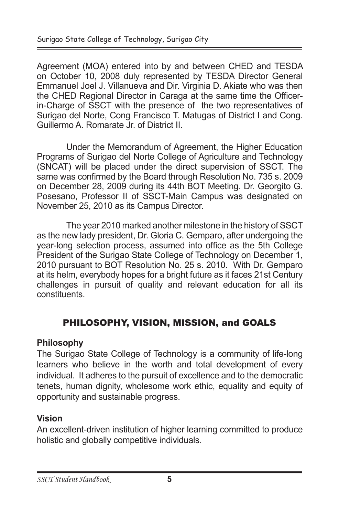Agreement (MOA) entered into by and between CHED and TESDA on October 10, 2008 duly represented by TESDA Director General Emmanuel Joel J. Villanueva and Dir. Virginia D. Akiate who was then the CHED Regional Director in Caraga at the same time the Officerin-Charge of SSCT with the presence of the two representatives of Surigao del Norte, Cong Francisco T. Matugas of District I and Cong. Guillermo A. Romarate Jr. of District II.

Under the Memorandum of Agreement, the Higher Education Programs of Surigao del Norte College of Agriculture and Technology (SNCAT) will be placed under the direct supervision of SSCT. The same was confirmed by the Board through Resolution No. 735 s. 2009 on December 28, 2009 during its 44th BOT Meeting. Dr. Georgito G. Posesano, Professor II of SSCT-Main Campus was designated on November 25, 2010 as its Campus Director.

The year 2010 marked another milestone in the history of SSCT as the new lady president, Dr. Gloria C. Gemparo, after undergoing the year-long selection process, assumed into office as the 5th College President of the Surigao State College of Technology on December 1, 2010 pursuant to BOT Resolution No. 25 s. 2010. With Dr. Gemparo at its helm, everybody hopes for a bright future as it faces 21st Century challenges in pursuit of quality and relevant education for all its constituents.

## PHILOSOPHY, VISION, MISSION, and GOALS

## **Philosophy**

The Surigao State College of Technology is a community of life-long learners who believe in the worth and total development of every individual. It adheres to the pursuit of excellence and to the democratic tenets, human dignity, wholesome work ethic, equality and equity of opportunity and sustainable progress.

## **Vision**

An excellent-driven institution of higher learning committed to produce holistic and globally competitive individuals.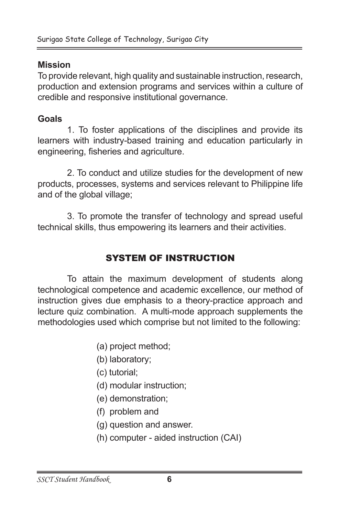## **Mission**

To provide relevant, high quality and sustainable instruction, research, production and extension programs and services within a culture of credible and responsive institutional governance.

## **Goals**

1. To foster applications of the disciplines and provide its learners with industry-based training and education particularly in engineering, fisheries and agriculture.

2. To conduct and utilize studies for the development of new products, processes, systems and services relevant to Philippine life and of the global village;

3. To promote the transfer of technology and spread useful technical skills, thus empowering its learners and their activities.

## SYSTEM OF INSTRUCTION

To attain the maximum development of students along technological competence and academic excellence, our method of instruction gives due emphasis to a theory-practice approach and lecture quiz combination. A multi-mode approach supplements the methodologies used which comprise but not limited to the following:

- (a) project method;
- (b) laboratory;
- (c) tutorial;
- (d) modular instruction;
- (e) demonstration;
- (f) problem and
- (g) question and answer.
- (h) computer aided instruction (CAI)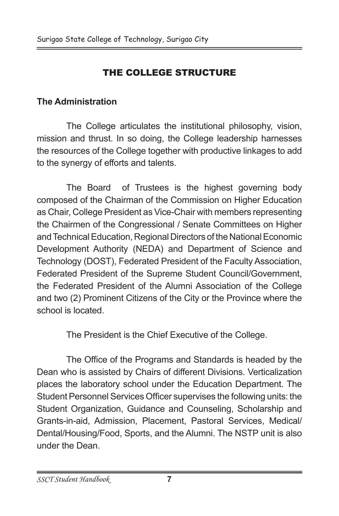## THE COLLEGE STRUCTURE

## **The Administration**

The College articulates the institutional philosophy, vision, mission and thrust. In so doing, the College leadership harnesses the resources of the College together with productive linkages to add to the synergy of efforts and talents.

The Board of Trustees is the highest governing body composed of the Chairman of the Commission on Higher Education as Chair, College President as Vice-Chair with members representing the Chairmen of the Congressional / Senate Committees on Higher and Technical Education, Regional Directors of the National Economic Development Authority (NEDA) and Department of Science and Technology (DOST), Federated President of the Faculty Association, Federated President of the Supreme Student Council/Government, the Federated President of the Alumni Association of the College and two (2) Prominent Citizens of the City or the Province where the school is located.

The President is the Chief Executive of the College.

The Office of the Programs and Standards is headed by the Dean who is assisted by Chairs of different Divisions. Verticalization places the laboratory school under the Education Department. The Student Personnel Services Officer supervises the following units: the Student Organization, Guidance and Counseling, Scholarship and Grants-in-aid, Admission, Placement, Pastoral Services, Medical/ Dental/Housing/Food, Sports, and the Alumni. The NSTP unit is also under the Dean.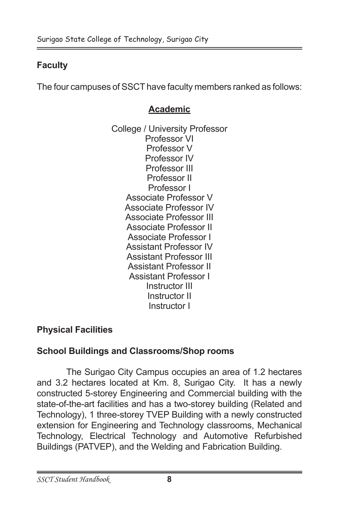## **Faculty**

The four campuses of SSCT have faculty members ranked as follows:

## **Academic**

College / University Professor Professor VI Professor V Professor IV Professor III Professor II Professor I Associate Professor V Associate Professor IV Associate Professor III Associate Professor II Associate Professor I Assistant Professor IV Assistant Professor III Assistant Professor II Assistant Professor I Instructor III Instructor II Instructor I

## **Physical Facilities**

## **School Buildings and Classrooms/Shop rooms**

The Surigao City Campus occupies an area of 1.2 hectares and 3.2 hectares located at Km. 8, Surigao City. It has a newly constructed 5-storey Engineering and Commercial building with the state-of-the-art facilities and has a two-storey building (Related and Technology), 1 three-storey TVEP Building with a newly constructed extension for Engineering and Technology classrooms, Mechanical Technology, Electrical Technology and Automotive Refurbished Buildings (PATVEP), and the Welding and Fabrication Building.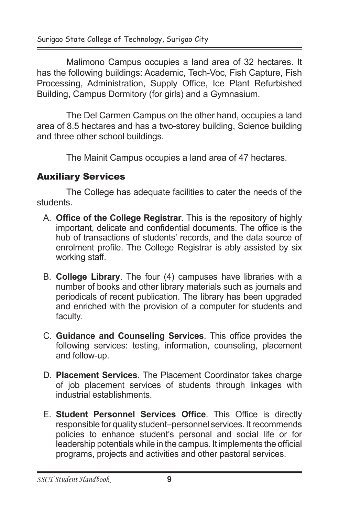Malimono Campus occupies a land area of 32 hectares. It has the following buildings: Academic, Tech-Voc, Fish Capture, Fish Processing, Administration, Supply Office, Ice Plant Refurbished Building, Campus Dormitory (for girls) and a Gymnasium.

The Del Carmen Campus on the other hand, occupies a land area of 8.5 hectares and has a two-storey building, Science building and three other school buildings.

The Mainit Campus occupies a land area of 47 hectares.

## Auxiliary Services

The College has adequate facilities to cater the needs of the students.

- A. **Office of the College Registrar**. This is the repository of highly important, delicate and confidential documents. The office is the hub of transactions of students' records, and the data source of enrolment profile. The College Registrar is ably assisted by six working staff.
- B. **College Library**. The four (4) campuses have libraries with a number of books and other library materials such as journals and periodicals of recent publication. The library has been upgraded and enriched with the provision of a computer for students and faculty.
- C. **Guidance and Counseling Services**. This office provides the following services: testing, information, counseling, placement and follow-up.
- D. **Placement Services**. The Placement Coordinator takes charge of job placement services of students through linkages with industrial establishments.
- E. **Student Personnel Services Office**. This Office is directly responsible for quality student–personnel services. It recommends policies to enhance student's personal and social life or for leadership potentials while in the campus. It implements the official programs, projects and activities and other pastoral services.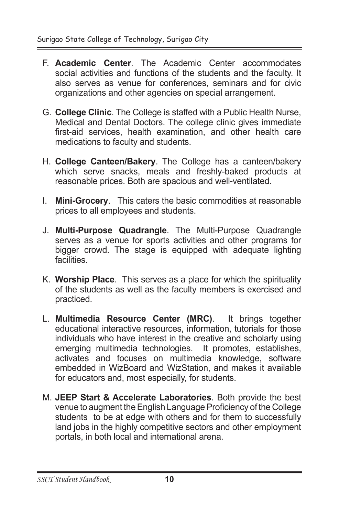- F. **Academic Center**. The Academic Center accommodates social activities and functions of the students and the faculty. It also serves as venue for conferences, seminars and for civic organizations and other agencies on special arrangement.
- G. **College Clinic**. The College is staffed with a Public Health Nurse, Medical and Dental Doctors. The college clinic gives immediate first-aid services, health examination, and other health care medications to faculty and students.
- H. **College Canteen/Bakery**. The College has a canteen/bakery which serve snacks, meals and freshly-baked products at reasonable prices. Both are spacious and well-ventilated.
- I. **Mini-Grocery**. This caters the basic commodities at reasonable prices to all employees and students.
- J. **Multi-Purpose Quadrangle**. The Multi-Purpose Quadrangle serves as a venue for sports activities and other programs for bigger crowd. The stage is equipped with adequate lighting facilities.
- K. **Worship Place**. This serves as a place for which the spirituality of the students as well as the faculty members is exercised and practiced.
- L. **Multimedia Resource Center (MRC)**. It brings together educational interactive resources, information, tutorials for those individuals who have interest in the creative and scholarly using emerging multimedia technologies. It promotes, establishes, activates and focuses on multimedia knowledge, software embedded in WizBoard and WizStation, and makes it available for educators and, most especially, for students.
- M. **JEEP Start & Accelerate Laboratories**. Both provide the best venue to augment the English Language Proficiency of the College students to be at edge with others and for them to successfully land jobs in the highly competitive sectors and other employment portals, in both local and international arena.

*SSCT Student Handbook* **10**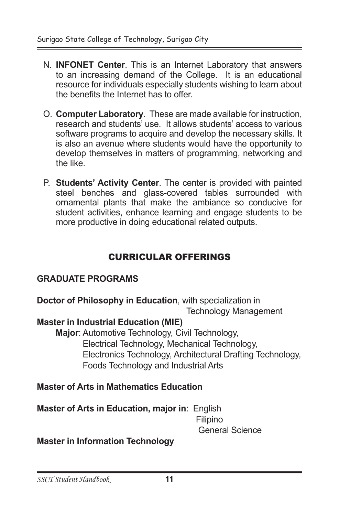- N. **INFONET Center**. This is an Internet Laboratory that answers to an increasing demand of the College. It is an educational resource for individuals especially students wishing to learn about the benefits the Internet has to offer.
- O. **Computer Laboratory**. These are made available for instruction, research and students' use. It allows students' access to various software programs to acquire and develop the necessary skills. It is also an avenue where students would have the opportunity to develop themselves in matters of programming, networking and the like.
- P. **Students' Activity Center**. The center is provided with painted steel benches and glass-covered tables surrounded with ornamental plants that make the ambiance so conducive for student activities, enhance learning and engage students to be more productive in doing educational related outputs.

## CURRICULAR OFFERINGS

## **GRADUATE PROGRAMS**

**Doctor of Philosophy in Education**, with specialization in

Technology Management

## **Master in Industrial Education (MIE)**

**Major**: Automotive Technology, Civil Technology,

 Electrical Technology, Mechanical Technology, Electronics Technology, Architectural Drafting Technology, Foods Technology and Industrial Arts

## **Master of Arts in Mathematics Education**

**Master of Arts in Education, major in**: English

 Filipino General Science

## **Master in Information Technology**

*SSCT Student Handbook* **11**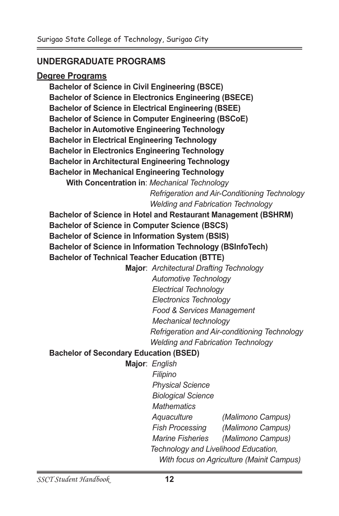#### **UNDERGRADUATE PROGRAMS**

#### **Degree Programs**

 **Bachelor of Science in Civil Engineering (BSCE) Bachelor of Science in Electronics Engineering (BSECE) Bachelor of Science in Electrical Engineering (BSEE) Bachelor of Science in Computer Engineering (BSCoE) Bachelor in Automotive Engineering Technology Bachelor in Electrical Engineering Technology Bachelor in Electronics Engineering Technology Bachelor in Architectural Engineering Technology Bachelor in Mechanical Engineering Technology With Concentration in**: *Mechanical Technology Refrigeration and Air-Conditioning Technology Welding and Fabrication Technology* **Bachelor of Science in Hotel and Restaurant Management (BSHRM) Bachelor of Science in Computer Science (BSCS) Bachelor of Science in Information System (BSIS) Bachelor of Science in Information Technology (BSInfoTech) Bachelor of Technical Teacher Education (BTTE) Major**: *Architectural Drafting Technology Automotive Technology Electrical Technology Electronics Technology Food & Services Management Mechanical technology Refrigeration and Air-conditioning Technology Welding and Fabrication Technology*   **Bachelor of Secondary Education (BSED) Major**: *English Filipino Physical Science Biological Science Mathematics* 

 *Aquaculture (Malimono Campus)*

 *Fish Processing (Malimono Campus) Marine Fisheries (Malimono Campus) Technology and Livelihood Education,* 

 *With focus on Agriculture (Mainit Campus)*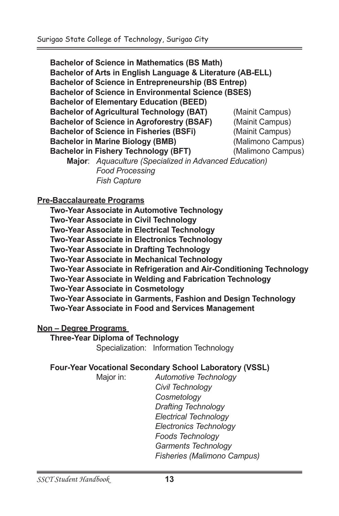**Bachelor of Science in Mathematics (BS Math) Bachelor of Arts in English Language & Literature (AB-ELL) Bachelor of Science in Entrepreneurship (BS Entrep) Bachelor of Science in Environmental Science (BSES) Bachelor of Elementary Education (BEED) Bachelor of Agricultural Technology (BAT)** (Mainit Campus) **Bachelor of Science in Agroforestry (BSAF)** (Mainit Campus) **Bachelor of Science in Fisheries (BSFi)** (Mainit Campus)<br> **Bachelor in Marine Biology (BMB)** (Malimono Campus) **Bachelor in Marine Biology (BMB) Bachelor in Fishery Technology (BFT)** (Malimono Campus) **Major**: *Aquaculture (Specialized in Advanced Education) Food Processing* 

 *Fish Capture* 

**Pre-Baccalaureate Programs**

**Two-Year Associate in Automotive Technology Two-Year Associate in Civil Technology Two-Year Associate in Electrical Technology Two-Year Associate in Electronics Technology Two-Year Associate in Drafting Technology Two-Year Associate in Mechanical Technology Two-Year Associate in Refrigeration and Air-Conditioning Technology Two-Year Associate in Welding and Fabrication Technology Two-Year Associate in Cosmetology Two-Year Associate in Garments, Fashion and Design Technology Two-Year Associate in Food and Services Management** 

#### **Non – Degree Programs**

**Three-Year Diploma of Technology**

Specialization: Information Technology

#### **Four-Year Vocational Secondary School Laboratory (VSSL)**

 Major in: *Automotive Technology Civil Technology Cosmetology Drafting Technology Electrical Technology Electronics Technology Foods Technology Garments Technology Fisheries (Malimono Campus)*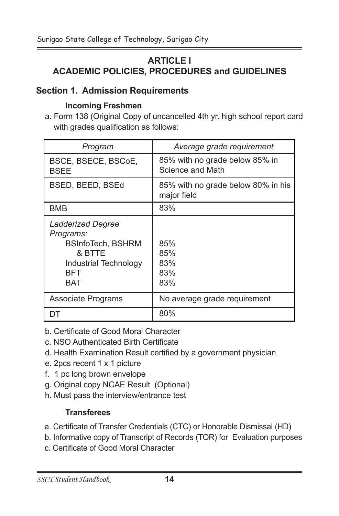#### **ARTICLE I ACADEMIC POLICIES, PROCEDURES and GUIDELINES**

## **Section 1. Admission Requirements**

#### **Incoming Freshmen**

a. Form 138 (Original Copy of uncancelled 4th yr. high school report card with grades qualification as follows:

| Program                                                                                                                   | Average grade requirement                          |
|---------------------------------------------------------------------------------------------------------------------------|----------------------------------------------------|
| BSCE, BSECE, BSCoE,<br><b>BSEE</b>                                                                                        | 85% with no grade below 85% in<br>Science and Math |
| BSED, BEED, BSEd                                                                                                          | 85% with no grade below 80% in his<br>major field  |
| <b>BMB</b>                                                                                                                | 83%                                                |
| Ladderized Degree<br>Programs:<br><b>BSInfoTech, BSHRM</b><br>& BTTE<br>Industrial Technology<br><b>BFT</b><br><b>BAT</b> | 85%<br>85%<br>83%<br>83%<br>83%                    |
| Associate Programs                                                                                                        | No average grade requirement                       |
|                                                                                                                           | 80%                                                |

- b. Certificate of Good Moral Character
- c. NSO Authenticated Birth Certificate
- d. Health Examination Result certified by a government physician
- e. 2pcs recent 1 x 1 picture
- f. 1 pc long brown envelope
- g. Original copy NCAE Result (Optional)
- h. Must pass the interview/entrance test

#### **Transferees**

- a. Certificate of Transfer Credentials (CTC) or Honorable Dismissal (HD)
- b. Informative copy of Transcript of Records (TOR) for Evaluation purposes
- c. Certificate of Good Moral Character

*SSCT Student Handbook* **14**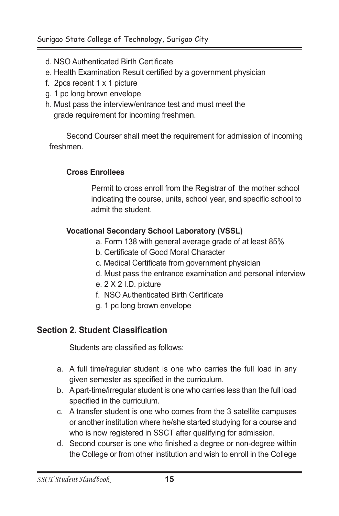- d. NSO Authenticated Birth Certificate
- e. Health Examination Result certified by a government physician
- f. 2pcs recent 1 x 1 picture
- g. 1 pc long brown envelope
- h. Must pass the interview/entrance test and must meet the grade requirement for incoming freshmen.

 Second Courser shall meet the requirement for admission of incoming freshmen.

#### **Cross Enrollees**

 Permit to cross enroll from the Registrar of the mother school indicating the course, units, school year, and specific school to admit the student.

#### **Vocational Secondary School Laboratory (VSSL)**

- a. Form 138 with general average grade of at least 85%
- b. Certificate of Good Moral Character
- c. Medical Certificate from government physician
- d. Must pass the entrance examination and personal interview
- e. 2 X 2 I.D. picture
- f. NSO Authenticated Birth Certificate
- g. 1 pc long brown envelope

## **Section 2. Student Classification**

Students are classified as follows:

- a. A full time/regular student is one who carries the full load in any given semester as specified in the curriculum.
- b. A part-time/irregular student is one who carries less than the full load specified in the curriculum.
- c. A transfer student is one who comes from the 3 satellite campuses or another institution where he/she started studying for a course and who is now registered in SSCT after qualifying for admission.
- d. Second courser is one who finished a degree or non-degree within the College or from other institution and wish to enroll in the College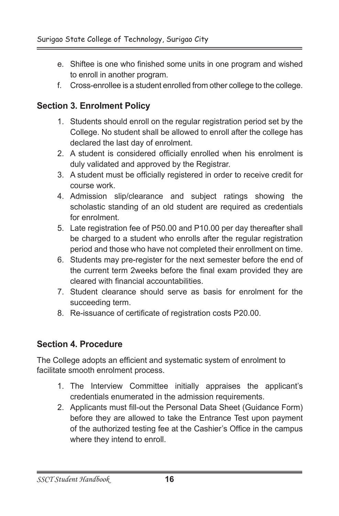- e. Shiftee is one who finished some units in one program and wished to enroll in another program.
- f. Cross-enrollee is a student enrolled from other college to the college.

### **Section 3. Enrolment Policy**

- 1. Students should enroll on the regular registration period set by the College. No student shall be allowed to enroll after the college has declared the last day of enrolment.
- 2. A student is considered officially enrolled when his enrolment is duly validated and approved by the Registrar.
- 3. A student must be officially registered in order to receive credit for course work.
- 4. Admission slip/clearance and subject ratings showing the scholastic standing of an old student are required as credentials for enrolment.
- 5. Late registration fee of P50.00 and P10.00 per day thereafter shall be charged to a student who enrolls after the regular registration period and those who have not completed their enrollment on time.
- 6. Students may pre-register for the next semester before the end of the current term 2weeks before the final exam provided they are cleared with financial accountabilities.
- 7. Student clearance should serve as basis for enrolment for the succeeding term.
- 8. Re-issuance of certificate of registration costs P20.00.

## **Section 4. Procedure**

The College adopts an efficient and systematic system of enrolment to facilitate smooth enrolment process.

- 1. The Interview Committee initially appraises the applicant's credentials enumerated in the admission requirements.
- 2. Applicants must fill-out the Personal Data Sheet (Guidance Form) before they are allowed to take the Entrance Test upon payment of the authorized testing fee at the Cashier's Office in the campus where they intend to enroll.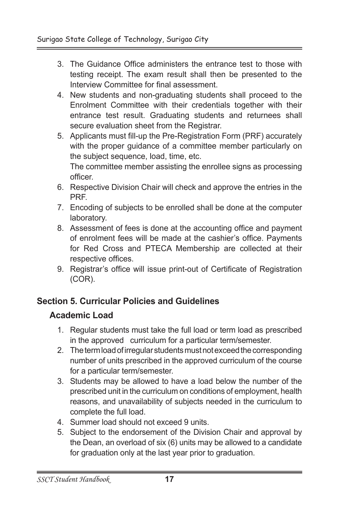- 3. The Guidance Office administers the entrance test to those with testing receipt. The exam result shall then be presented to the Interview Committee for final assessment.
- 4. New students and non-graduating students shall proceed to the Enrolment Committee with their credentials together with their entrance test result. Graduating students and returnees shall secure evaluation sheet from the Registrar.
- 5. Applicants must fill-up the Pre-Registration Form (PRF) accurately with the proper guidance of a committee member particularly on the subject sequence, load, time, etc. The committee member assisting the enrollee signs as processing officer.
- 6. Respective Division Chair will check and approve the entries in the PRF.
- 7. Encoding of subjects to be enrolled shall be done at the computer laboratory.
- 8. Assessment of fees is done at the accounting office and payment of enrolment fees will be made at the cashier's office. Payments for Red Cross and PTECA Membership are collected at their respective offices.
- 9. Registrar's office will issue print-out of Certificate of Registration (COR).

## **Section 5. Curricular Policies and Guidelines**

## **Academic Load**

- 1. Regular students must take the full load or term load as prescribed in the approved curriculum for a particular term/semester.
- 2. The term load of irregular students must not exceed the corresponding number of units prescribed in the approved curriculum of the course for a particular term/semester.
- 3. Students may be allowed to have a load below the number of the prescribed unit in the curriculum on conditions of employment, health reasons, and unavailability of subjects needed in the curriculum to complete the full load.
- 4. Summer load should not exceed 9 units.
- 5. Subject to the endorsement of the Division Chair and approval by the Dean, an overload of six (6) units may be allowed to a candidate for graduation only at the last year prior to graduation.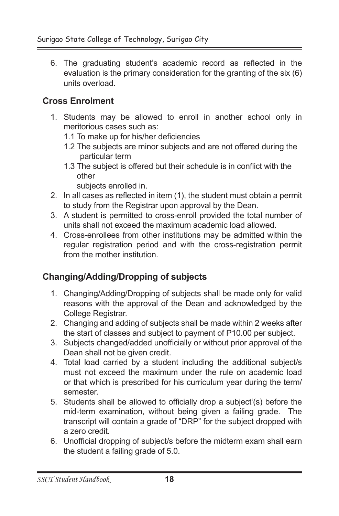6. The graduating student's academic record as reflected in the evaluation is the primary consideration for the granting of the six (6) units overload.

## **Cross Enrolment**

- 1. Students may be allowed to enroll in another school only in meritorious cases such as:
	- 1.1 To make up for his/her deficiencies
	- 1.2 The subjects are minor subjects and are not offered during the particular term
	- 1.3 The subject is offered but their schedule is in conflict with the other

subjects enrolled in.

- 2. In all cases as reflected in item (1), the student must obtain a permit to study from the Registrar upon approval by the Dean.
- 3. A student is permitted to cross-enroll provided the total number of units shall not exceed the maximum academic load allowed.
- 4. Cross-enrollees from other institutions may be admitted within the regular registration period and with the cross-registration permit from the mother institution.

## **Changing/Adding/Dropping of subjects**

- 1. Changing/Adding/Dropping of subjects shall be made only for valid reasons with the approval of the Dean and acknowledged by the College Registrar.
- 2. Changing and adding of subjects shall be made within 2 weeks after the start of classes and subject to payment of P10.00 per subject.
- 3. Subjects changed/added unofficially or without prior approval of the Dean shall not be given credit.
- 4. Total load carried by a student including the additional subject/s must not exceed the maximum under the rule on academic load or that which is prescribed for his curriculum year during the term/ semester.
- 5. Students shall be allowed to officially drop a subject'(s) before the mid-term examination, without being given a failing grade. The transcript will contain a grade of "DRP" for the subject dropped with a zero credit.
- 6. Unofficial dropping of subject/s before the midterm exam shall earn the student a failing grade of 5.0.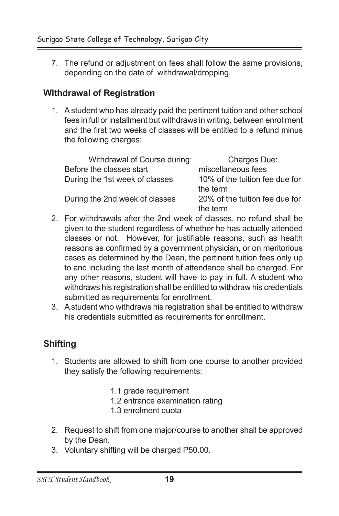7. The refund or adjustment on fees shall follow the same provisions, depending on the date of withdrawal/dropping.

## **Withdrawal of Registration**

1. A student who has already paid the pertinent tuition and other school fees in full or installment but withdraws in writing, between enrollment and the first two weeks of classes will be entitled to a refund minus the following charges:

| Withdrawal of Course during:   | Charges Due:                               |
|--------------------------------|--------------------------------------------|
| Before the classes start       | miscellaneous fees                         |
| During the 1st week of classes | 10% of the tuition fee due for<br>the term |
| During the 2nd week of classes | 20% of the tuition fee due for<br>the term |

- 2. For withdrawals after the 2nd week of classes, no refund shall be given to the student regardless of whether he has actually attended classes or not. However, for justifiable reasons, such as health reasons as confirmed by a government physician, or on meritorious cases as determined by the Dean, the pertinent tuition fees only up to and including the last month of attendance shall be charged. For any other reasons, student will have to pay in full. A student who withdraws his registration shall be entitled to withdraw his credentials submitted as requirements for enrollment.
- 3. A student who withdraws his registration shall be entitled to withdraw his credentials submitted as requirements for enrollment.

## **Shifting**

- 1. Students are allowed to shift from one course to another provided they satisfy the following requirements:
	- 1.1 grade requirement
	- 1.2 entrance examination rating
	- 1.3 enrolment quota
- 2. Request to shift from one major/course to another shall be approved by the Dean.
- 3. Voluntary shifting will be charged P50.00.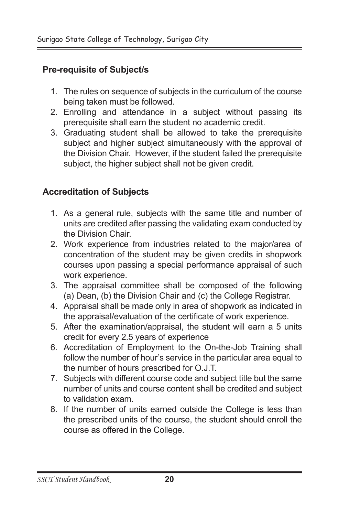## **Pre-requisite of Subject/s**

- 1. The rules on sequence of subjects in the curriculum of the course being taken must be followed.
- 2. Enrolling and attendance in a subject without passing its prerequisite shall earn the student no academic credit.
- 3. Graduating student shall be allowed to take the prerequisite subject and higher subject simultaneously with the approval of the Division Chair. However, if the student failed the prerequisite subject, the higher subject shall not be given credit.

## **Accreditation of Subjects**

- 1. As a general rule, subjects with the same title and number of units are credited after passing the validating exam conducted by the Division Chair.
- 2. Work experience from industries related to the major/area of concentration of the student may be given credits in shopwork courses upon passing a special performance appraisal of such work experience.
- 3. The appraisal committee shall be composed of the following (a) Dean, (b) the Division Chair and (c) the College Registrar.
- 4. Appraisal shall be made only in area of shopwork as indicated in the appraisal/evaluation of the certificate of work experience.
- 5. After the examination/appraisal, the student will earn a 5 units credit for every 2.5 years of experience
- 6. Accreditation of Employment to the On-the-Job Training shall follow the number of hour's service in the particular area equal to the number of hours prescribed for O.J.T.
- 7. Subjects with different course code and subject title but the same number of units and course content shall be credited and subject to validation exam.
- 8. If the number of units earned outside the College is less than the prescribed units of the course, the student should enroll the course as offered in the College.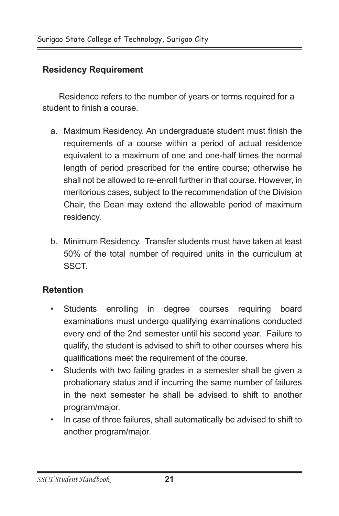## **Residency Requirement**

 Residence refers to the number of years or terms required for a student to finish a course.

- a. Maximum Residency. An undergraduate student must finish the requirements of a course within a period of actual residence equivalent to a maximum of one and one-half times the normal length of period prescribed for the entire course; otherwise he shall not be allowed to re-enroll further in that course. However, in meritorious cases, subject to the recommendation of the Division Chair, the Dean may extend the allowable period of maximum residency.
- b. Minimum Residency. Transfer students must have taken at least 50% of the total number of required units in the curriculum at SSCT.

#### **Retention**

- Students enrolling in degree courses requiring board examinations must undergo qualifying examinations conducted every end of the 2nd semester until his second year. Failure to qualify, the student is advised to shift to other courses where his qualifications meet the requirement of the course.
- Students with two failing grades in a semester shall be given a probationary status and if incurring the same number of failures in the next semester he shall be advised to shift to another program/major.
- In case of three failures, shall automatically be advised to shift to another program/major.

*SSCT Student Handbook* **21**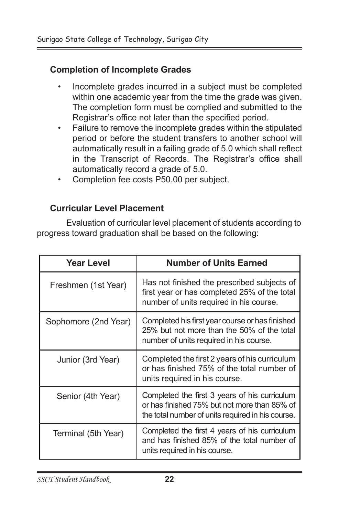## **Completion of Incomplete Grades**

- Incomplete grades incurred in a subject must be completed within one academic year from the time the grade was given. The completion form must be complied and submitted to the Registrar's office not later than the specified period.
- Failure to remove the incomplete grades within the stipulated period or before the student transfers to another school will automatically result in a failing grade of 5.0 which shall reflect in the Transcript of Records. The Registrar's office shall automatically record a grade of 5.0.
- Completion fee costs P50.00 per subject.

#### **Curricular Level Placement**

Evaluation of curricular level placement of students according to progress toward graduation shall be based on the following:

| <b>Year Level</b>    | <b>Number of Units Earned</b>                                                                                                                      |
|----------------------|----------------------------------------------------------------------------------------------------------------------------------------------------|
| Freshmen (1st Year)  | Has not finished the prescribed subjects of<br>first year or has completed 25% of the total<br>number of units required in his course.             |
| Sophomore (2nd Year) | Completed his first year course or has finished<br>25% but not more than the 50% of the total<br>number of units required in his course.           |
| Junior (3rd Year)    | Completed the first 2 years of his curriculum<br>or has finished 75% of the total number of<br>units required in his course.                       |
| Senior (4th Year)    | Completed the first 3 years of his curriculum<br>or has finished 75% but not more than 85% of<br>the total number of units required in his course. |
| Terminal (5th Year)  | Completed the first 4 years of his curriculum<br>and has finished 85% of the total number of<br>units required in his course.                      |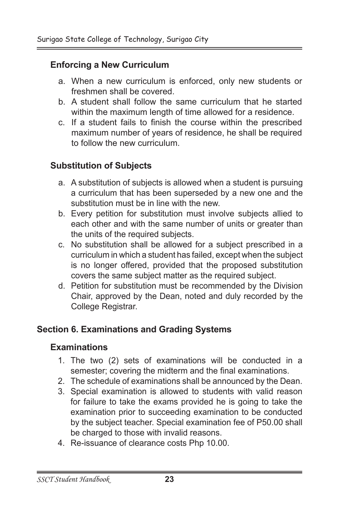## **Enforcing a New Curriculum**

- a. When a new curriculum is enforced, only new students or freshmen shall be covered.
- b. A student shall follow the same curriculum that he started within the maximum length of time allowed for a residence.
- c. If a student fails to finish the course within the prescribed maximum number of years of residence, he shall be required to follow the new curriculum.

## **Substitution of Subjects**

- a. A substitution of subjects is allowed when a student is pursuing a curriculum that has been superseded by a new one and the substitution must be in line with the new.
- b. Every petition for substitution must involve subjects allied to each other and with the same number of units or greater than the units of the required subjects.
- c. No substitution shall be allowed for a subject prescribed in a curriculum in which a student has failed, except when the subject is no longer offered, provided that the proposed substitution covers the same subject matter as the required subject.
- d. Petition for substitution must be recommended by the Division Chair, approved by the Dean, noted and duly recorded by the College Registrar.

## **Section 6. Examinations and Grading Systems**

#### **Examinations**

- 1. The two (2) sets of examinations will be conducted in a semester; covering the midterm and the final examinations.
- 2. The schedule of examinations shall be announced by the Dean.
- 3. Special examination is allowed to students with valid reason for failure to take the exams provided he is going to take the examination prior to succeeding examination to be conducted by the subject teacher. Special examination fee of P50.00 shall be charged to those with invalid reasons.
- 4. Re-issuance of clearance costs Php 10.00.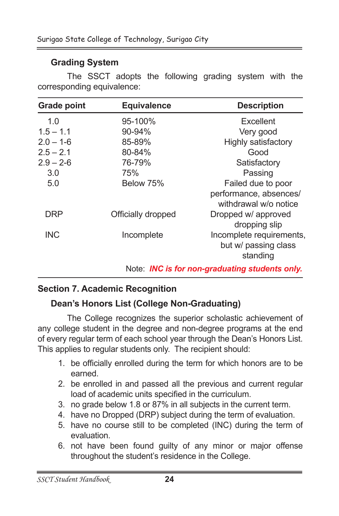#### **Grading System**

The SSCT adopts the following grading system with the corresponding equivalence:

| <b>Grade point</b> | <b>Equivalence</b> | <b>Description</b>                                           |
|--------------------|--------------------|--------------------------------------------------------------|
| 1.0                | $95 - 100\%$       | Excellent                                                    |
| $1.5 - 1.1$        | $90 - 94\%$        | Very good                                                    |
| $2.0 - 1 - 6$      | 85-89%             | <b>Highly satisfactory</b>                                   |
| $2.5 - 2.1$        | 80-84%             | Good                                                         |
| $2.9 - 2 - 6$      | 76-79%             | Satisfactory                                                 |
| 3.0                | 75%                | Passing                                                      |
| 5.0                | Below 75%          | Failed due to poor                                           |
|                    |                    | performance, absences/<br>withdrawal w/o notice              |
| DRP                | Officially dropped | Dropped w/ approved<br>dropping slip                         |
| <b>INC</b>         | Incomplete         | Incomplete requirements,<br>but w/ passing class<br>standing |

Note: *INC is for non-graduating students only.*

#### **Section 7. Academic Recognition**

#### **Dean's Honors List (College Non-Graduating)**

The College recognizes the superior scholastic achievement of any college student in the degree and non-degree programs at the end of every regular term of each school year through the Dean's Honors List. This applies to regular students only. The recipient should:

- 1. be officially enrolled during the term for which honors are to be earned.
- 2. be enrolled in and passed all the previous and current regular load of academic units specified in the curriculum.
- 3. no grade below 1.8 or 87% in all subjects in the current term.
- 4. have no Dropped (DRP) subject during the term of evaluation.
- 5. have no course still to be completed (INC) during the term of evaluation.
- 6. not have been found guilty of any minor or major offense throughout the student's residence in the College.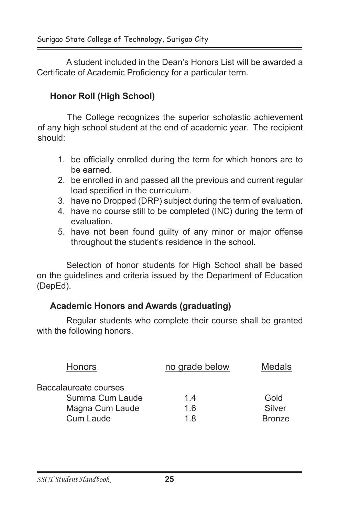A student included in the Dean's Honors List will be awarded a Certificate of Academic Proficiency for a particular term.

## **Honor Roll (High School)**

The College recognizes the superior scholastic achievement of any high school student at the end of academic year. The recipient should:

- 1. be officially enrolled during the term for which honors are to be earned.
- 2. be enrolled in and passed all the previous and current regular load specified in the curriculum.
- 3. have no Dropped (DRP) subject during the term of evaluation.
- 4. have no course still to be completed (INC) during the term of evaluation.
- 5. have not been found guilty of any minor or major offense throughout the student's residence in the school.

Selection of honor students for High School shall be based on the guidelines and criteria issued by the Department of Education (DepEd).

## **Academic Honors and Awards (graduating)**

Regular students who complete their course shall be granted with the following honors.

| <b>Honors</b>         | no grade below | <b>Medals</b> |
|-----------------------|----------------|---------------|
| Baccalaureate courses |                |               |
| Summa Cum Laude       | 14             | Gold          |
| Magna Cum Laude       | 1.6            | Silver        |
| Cum Laude             | 1 8            | <b>Bronze</b> |
|                       |                |               |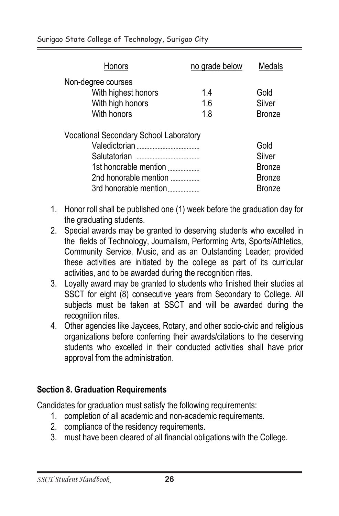| Honors                                                                                                                   | no grade below  | Medals                                                            |
|--------------------------------------------------------------------------------------------------------------------------|-----------------|-------------------------------------------------------------------|
| Non-degree courses<br>With highest honors<br>With high honors<br>With honors                                             | 14<br>1.6<br>18 | Gold<br>Silver<br><b>Bronze</b>                                   |
| <b>Vocational Secondary School Laboratory</b><br>1st honorable mention<br>2nd honorable mention<br>3rd honorable mention |                 | Gold<br>Silver<br><b>Bronze</b><br><b>Bronze</b><br><b>Bronze</b> |

- 1. Honor roll shall be published one (1) week before the graduation day for the graduating students.
- 2. Special awards may be granted to deserving students who excelled in the fields of Technology, Journalism, Performing Arts, Sports/Athletics, Community Service, Music, and as an Outstanding Leader; provided these activities are initiated by the college as part of its curricular activities, and to be awarded during the recognition rites.
- 3. Loyalty award may be granted to students who finished their studies at SSCT for eight (8) consecutive years from Secondary to College. All subjects must be taken at SSCT and will be awarded during the recognition rites.
- 4. Other agencies like Jaycees, Rotary, and other socio-civic and religious organizations before conferring their awards/citations to the deserving students who excelled in their conducted activities shall have prior approval from the administration.

## **Section 8. Graduation Requirements**

Candidates for graduation must satisfy the following requirements:

- 1. completion of all academic and non-academic requirements.
- 2. compliance of the residency requirements.
- 3. must have been cleared of all financial obligations with the College.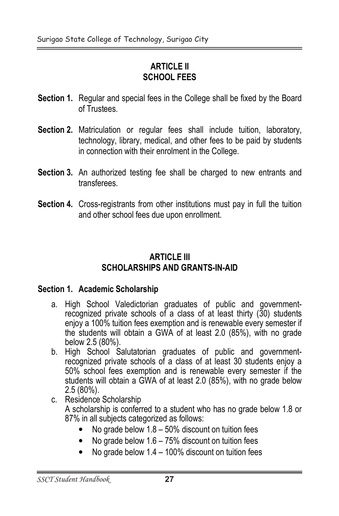### **ARTICLE II SCHOOL FEES**

- Section 1. Regular and special fees in the College shall be fixed by the Board of Trustees.
- Section 2. Matriculation or regular fees shall include tuition, laboratory, technology, library, medical, and other fees to be paid by students in connection with their enrolment in the College.
- Section 3. An authorized testing fee shall be charged to new entrants and transferees
- Section 4. Cross-registrants from other institutions must pay in full the tuition and other school fees due upon enrollment.

#### **ARTICLE III SCHOLARSHIPS AND GRANTS-IN-AID**

#### Section 1. Academic Scholarship

- a. High School Valedictorian graduates of public and governmentrecognized private schools of a class of at least thirty (30) students enjoy a 100% tuition fees exemption and is renewable every semester if the students will obtain a GWA of at least 2.0 (85%), with no grade below 2.5 (80%).
- b. High School Salutatorian graduates of public and governmentrecognized private schools of a class of at least 30 students enjoy a 50% school fees exemption and is renewable every semester if the students will obtain a GWA of at least 2.0 (85%), with no grade below  $2.5(80\%)$ .
- c. Residence Scholarship A scholarship is conferred to a student who has no grade below 1.8 or 87% in all subjects categorized as follows:
	- No grade below  $1.8 50\%$  discount on tuition fees
	- No grade below 1.6 75% discount on tuition fees
	- No grade below 1.4 100% discount on tuition fees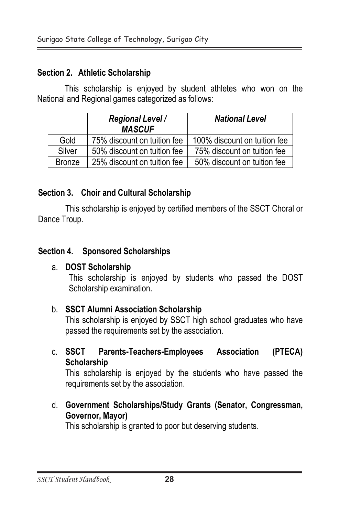## **Section 2. Athletic Scholarship**

|    |                        | <b>Regional Level /</b><br><b>MASCUF</b>                                                                                                                                                                                                                                          | <b>National Level</b>         |
|----|------------------------|-----------------------------------------------------------------------------------------------------------------------------------------------------------------------------------------------------------------------------------------------------------------------------------|-------------------------------|
|    | Gold                   | 75% discount on tuition fee                                                                                                                                                                                                                                                       | 100% discount on tuition fee  |
|    | Silver                 | 50% discount on tuition fee                                                                                                                                                                                                                                                       | 75% discount on tuition fee   |
|    | <b>Bronze</b>          | 25% discount on tuition fee                                                                                                                                                                                                                                                       | 50% discount on tuition fee   |
|    |                        | Section 4. Sponsored Scholarships                                                                                                                                                                                                                                                 |                               |
|    |                        | a. DOST Scholarship<br>This scholarship is enjoyed by students who passed the DOST<br>Scholarship examination.<br>b. SSCT Alumni Association Scholarship<br>This scholarship is enjoyed by SSCT high school graduates who have<br>passed the requirements set by the association. |                               |
|    | c. SSCT<br>Scholarship | <b>Parents-Teachers-Employees</b><br>This scholarship is enjoyed by the students who have passed the<br>requirements set by the association.                                                                                                                                      | (PTECA)<br><b>Association</b> |
| d. |                        | Government Scholarships/Study Grants (Senator, Congressman<br>Governor, Mayor)<br>This scholarship is granted to poor but deserving students.                                                                                                                                     |                               |

## **Section 3. Choir and Cultural Scholarship**

## **Section 4. Sponsored Scholarships**

## a. DOST Scholarship

## b. SSCT Alumni Association Scholarship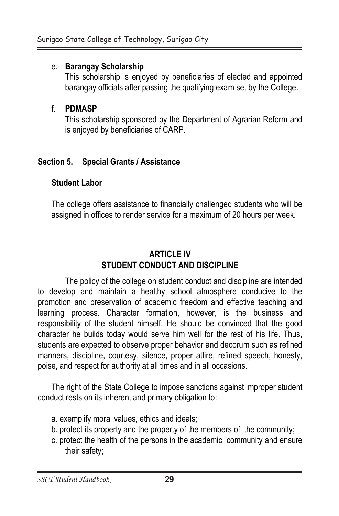#### e. Barangay Scholarship

This scholarship is enjoved by beneficiaries of elected and appointed barangay officials after passing the qualifying exam set by the College.

#### f **PDMASP**

This scholarship sponsored by the Department of Agrarian Reform and is enjoyed by beneficiaries of CARP.

#### Section 5. Special Grants / Assistance

#### **Student Labor**

The college offers assistance to financially challenged students who will be assigned in offices to render service for a maximum of 20 hours per week.

## **ARTICLE IV STUDENT CONDUCT AND DISCIPLINE**

The policy of the college on student conduct and discipline are intended to develop and maintain a healthy school atmosphere conducive to the promotion and preservation of academic freedom and effective teaching and learning process. Character formation, however, is the business and responsibility of the student himself. He should be convinced that the good character he builds today would serve him well for the rest of his life. Thus, students are expected to observe proper behavior and decorum such as refined manners, discipline, courtesy, silence, proper attire, refined speech, honesty, poise, and respect for authority at all times and in all occasions.

The right of the State College to impose sanctions against improper student conduct rests on its inherent and primary obligation to:

- a. exemplify moral values, ethics and ideals;
- b. protect its property and the property of the members of the community;
- c. protect the health of the persons in the academic community and ensure their safety;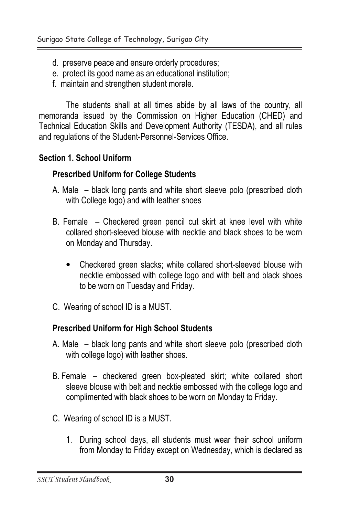- d. preserve peace and ensure orderly procedures;
- e. protect its good name as an educational institution;
- f. maintain and strengthen student morale.

The students shall at all times abide by all laws of the country, all memoranda issued by the Commission on Higher Education (CHED) and Technical Education Skills and Development Authority (TESDA), and all rules and regulations of the Student-Personnel-Services Office.

#### **Section 1. School Uniform**

#### **Prescribed Uniform for College Students**

- A. Male black long pants and white short sleeve polo (prescribed cloth with College logo) and with leather shoes
- B. Female Checkered green pencil cut skirt at knee level with white collared short-sleeved blouse with necktie and black shoes to be worn on Monday and Thursday.
	- Checkered green slacks; white collared short-sleeved blouse with necktie embossed with college logo and with belt and black shoes to be worn on Tuesday and Friday.
- C. Wearing of school ID is a MUST.

## **Prescribed Uniform for High School Students**

- A. Male black long pants and white short sleeve polo (prescribed cloth with college logo) with leather shoes.
- B. Female checkered green box-pleated skirt; white collared short sleeve blouse with belt and necktie embossed with the college logo and complimented with black shoes to be worn on Monday to Friday.
- C. Wearing of school ID is a MUST.
	- 1. During school days, all students must wear their school uniform from Monday to Friday except on Wednesday, which is declared as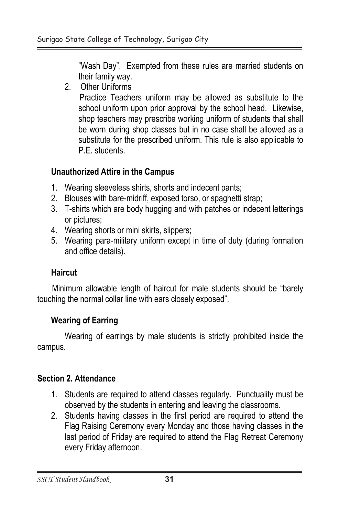"Wash Day". Exempted from these rules are married students on their family way.

2. Other Uniforms

Practice Teachers uniform may be allowed as substitute to the school uniform upon prior approval by the school head. Likewise, shop teachers may prescribe working uniform of students that shall be worn during shop classes but in no case shall be allowed as a substitute for the prescribed uniform. This rule is also applicable to P.E. students.

## **Unauthorized Attire in the Campus**

- 1. Wearing sleeveless shirts, shorts and indecent pants;
- 2. Blouses with bare-midriff, exposed torso, or spaghetti strap;
- 3. T-shirts which are body hugging and with patches or indecent letterings or pictures;
- 4. Wearing shorts or mini skirts, slippers;
- 5. Wearing para-military uniform except in time of duty (during formation and office details).

## **Haircut**

Minimum allowable length of haircut for male students should be "barely" touching the normal collar line with ears closely exposed".

## **Wearing of Earring**

Wearing of earrings by male students is strictly prohibited inside the campus.

## **Section 2. Attendance**

- 1. Students are required to attend classes regularly. Punctuality must be observed by the students in entering and leaving the classrooms.
- 2. Students having classes in the first period are required to attend the Flag Raising Ceremony every Monday and those having classes in the last period of Friday are required to attend the Flag Retreat Ceremony every Friday afternoon.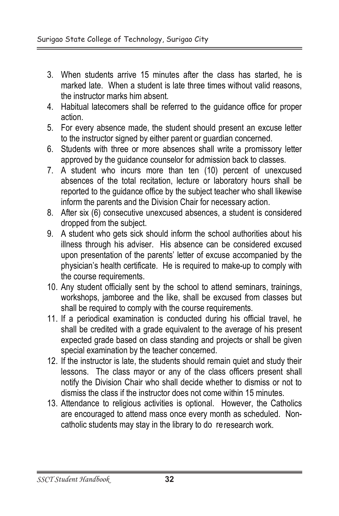- 3. When students arrive 15 minutes after the class has started, he is marked late. When a student is late three times without valid reasons, the instructor marks him absent.
- 4. Habitual latecomers shall be referred to the guidance office for proper action.
- 5. For every absence made, the student should present an excuse letter to the instructor signed by either parent or guardian concerned.
- 6. Students with three or more absences shall write a promissory letter approved by the guidance counselor for admission back to classes.
- 7. A student who incurs more than ten (10) percent of unexcused absences of the total recitation, lecture or laboratory hours shall be reported to the guidance office by the subject teacher who shall likewise inform the parents and the Division Chair for necessary action.
- 8. After six (6) consecutive unexcused absences, a student is considered dropped from the subject.
- 9. A student who gets sick should inform the school authorities about his illness through his adviser. His absence can be considered excused upon presentation of the parents' letter of excuse accompanied by the physician's health certificate. He is required to make-up to comply with the course requirements.
- 10. Any student officially sent by the school to attend seminars, trainings, workshops, jamboree and the like, shall be excused from classes but shall be required to comply with the course requirements.
- 11. If a periodical examination is conducted during his official travel, he shall be credited with a grade equivalent to the average of his present expected grade based on class standing and projects or shall be given special examination by the teacher concerned.
- 12. If the instructor is late, the students should remain quiet and study their lessons. The class mayor or any of the class officers present shall notify the Division Chair who shall decide whether to dismiss or not to dismiss the class if the instructor does not come within 15 minutes.
- 13. Attendance to religious activities is optional. However, the Catholics are encouraged to attend mass once every month as scheduled. Noncatholic students may stay in the library to do reresearch work.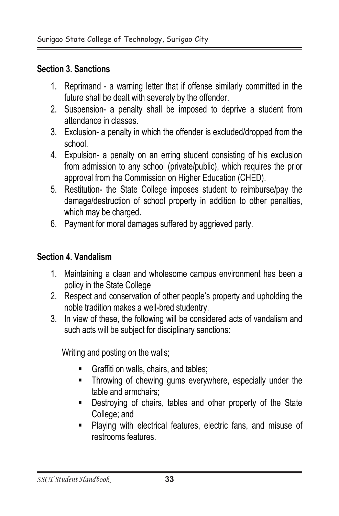## **Section 3. Sanctions**

- 1. Reprimand a warning letter that if offense similarly committed in the future shall be dealt with severely by the offender.
	- 2. Suspension- a penalty shall be imposed to deprive a student from attendance in classes. The set of the set of the set of the set of the set of the set of the set of the set of
	- 3. Exclusion- a penalty in which the offender is excluded/dropped from the school. school. The contract of the contract of the contract of the contract of the contract of the contract of the contract of the contract of the contract of the contract of the contract of the contract of the contract of the co
	- 4. Expulsion- a penalty on an erring student consisting of his exclusion from admission to any school (private/public), which requires the prior approval from the Commission on Higher Education (CHED).
	- 5. Restitution- the State College imposes student to reimburse/pay the damage/destruction of school property in addition to other penalties,<br>which may be charged. which may be charged.
	- 6. Payment for moral damages suffered by aggrieved party.

## Section 4. Vandalism

- 1. Maintaining a clean and wholesome campus environment has been a policy in the State College **Example 20**
- 2. Respect and conservation of other people's property and upholding the noble tradition makes a well-bred studentry.
- 3. In view of these, the following will be considered acts of vandalism and such acts will be subject for disciplinary sanctions:

and the company of the company of the company of the company of the company of the company of the company of the Writing and posting on the walls;

- $\blacksquare$  Grammon walls, chairs, and labies;<br> $\blacksquare$ ■ Graffiti on walls, chairs, and tables;
- Throwing of chewing gums everywhere, especially under the rable and annunalis,<br>References and the contract of the Contract of the Contract of the Contract of the Contract of the Contract of table and armchairs:
- Destroying of chairs, tables and other property of the State Unityd, and<br>District the contract of the contract of the contract of the contract of the contract of the contract of the c College; and
- Playing with electrical features, electric fans, and misuse of restrooms features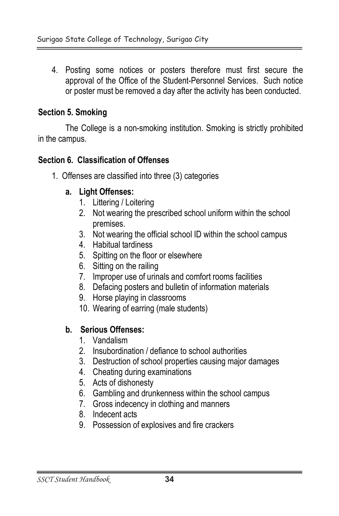4. Posting some notices or posters therefore must first secure the approval of the Office of the Student-Personnel Services. Such notice or poster must be removed a day after the activity has been conducted.

#### **Section 5. Smoking**

The College is a non-smoking institution. Smoking is strictly prohibited in the campus.

#### Section 6. Classification of Offenses

1. Offenses are classified into three (3) categories

#### a. Light Offenses:

- 1. Littering / Loitering
- 2. Not wearing the prescribed school uniform within the school premises.
- 3. Not wearing the official school ID within the school campus
- 4. Habitual tardiness
- 5. Spitting on the floor or elsewhere
- 6. Sitting on the railing
- 7. Improper use of urinals and comfort rooms facilities
- 8. Defacing posters and bulletin of information materials
- 9. Horse playing in classrooms
- 10. Wearing of earring (male students)

#### b. Serious Offenses:

- 1 Vandalism
- 2. Insubordination / defiance to school authorities
- 3. Destruction of school properties causing major damages
- 4. Cheating during examinations
- 5. Acts of dishonesty
- 6. Gambling and drunkenness within the school campus
- 7. Gross indecency in clothing and manners
- 8. Indecent acts
- 9. Possession of explosives and fire crackers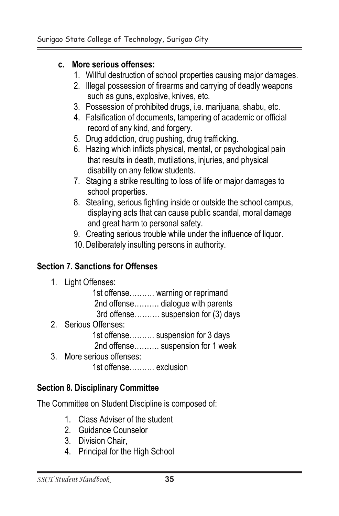#### c. More serious offenses:

<u> Andreas Andreas Andreas Andreas Andreas Andreas Andreas Andreas Andreas Andreas Andreas Andreas Andreas Andr</u>

- 1. Willful destruction of school properties causing major damages.
- 2. Illegal possession of firearms and carrying of deadly weapons such as guns, explosive, knives, etc.
- 3. Possession of prohibited drugs, i.e. marijuana, shabu, etc.  $\mathbf{u}$  , and the set of  $\mathbf{u}$  , and  $\mathbf{u}$  , and  $\mathbf{u}$  , and  $\mathbf{u}$  , and  $\mathbf{u}$
- 4. Falsification of documents, tampering of academic or official record of any kind, and forgery.
- 5. Drug addiction, drug pushing, drug trafficking.
- 6. Hazing which inflicts physical, mental, or psychological pain that results in death, mutilations, injuries, and physical disability on any fellow students.
- 7. Staging a strike resulting to loss of life or major damages to school properties.
- 8. Stealing, serious fighting inside or outside the school campus, displaying acts that can cause public scandal, moral damage and great harm to personal safety. **c. More serious offenses:**<br>
1. Willful destruction of school properties causing major damages.<br>
2. Illegal possession of firearms and carrying of deadly weapons<br>
such as guns, explosive, knives, etc.<br>
4. Falsification of school properties.<br>Stealing, serious fighting inside or outside the school campus,<br>displaying acts that can cause public scandal, moral damage<br>and great harm to personal safety.<br>Creating serious trouble while under the inf
	- 9. Creating serious trouble while under the influence of liquor.
	- 10. Deliberately insulting persons in authority.

## **Section 7. Sanctions for Offenses**

1. Light Offenses:

| 1. Light Offenses:                  |
|-------------------------------------|
| 1st offense warning or reprimand    |
| 2nd offense dialogue with parents   |
| 3rd offense suspension for (3) days |
| 2. Serious Offenses:                |
| 1st offense suspension for 3 days   |
| 2nd offense suspension for 1 week   |
| 3. More serious offenses:           |

- 2nd offense.......... suspension for 1 week
	- 3. More serious offenses: 1st offense.......... exclusion

## **Section 8. Disciplinary Committee**

The Committee on Student Discipline is composed of:<br>1. Class Adviser of the student

- 1. Class Adviser of the student
- 2. Guidance Counselor
- 3. Division Chair,
- 4. Principal for the High School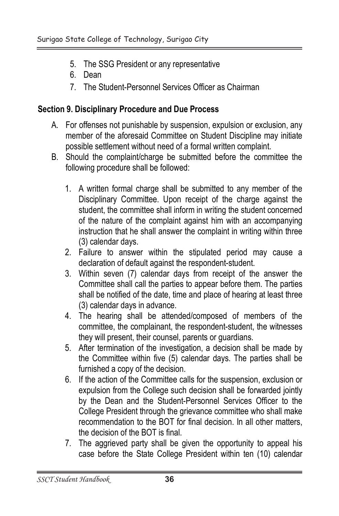- 5. The SSG President or any representative
- 6. Dean
- 7. The Student-Personnel Services Officer as Chairman

## Section 9. Disciplinary Procedure and Due Process

- A. For offenses not punishable by suspension, expulsion or exclusion, any member of the aforesaid Committee on Student Discipline may initiate possible settlement without need of a formal written complaint.
- B. Should the complaint/charge be submitted before the committee the following procedure shall be followed:
	- 1. A written formal charge shall be submitted to any member of the Disciplinary Committee. Upon receipt of the charge against the student, the committee shall inform in writing the student concerned of the nature of the complaint against him with an accompanying instruction that he shall answer the complaint in writing within three (3) calendar days.
	- 2. Failure to answer within the stipulated period may cause a declaration of default against the respondent-student.
	- 3. Within seven (7) calendar days from receipt of the answer the Committee shall call the parties to appear before them. The parties shall be notified of the date, time and place of hearing at least three (3) calendar days in advance.
	- 4. The hearing shall be attended/composed of members of the committee, the complainant, the respondent-student, the witnesses they will present, their counsel, parents or guardians.
	- 5. After termination of the investigation, a decision shall be made by the Committee within five (5) calendar days. The parties shall be furnished a copy of the decision.
	- 6. If the action of the Committee calls for the suspension, exclusion or expulsion from the College such decision shall be forwarded jointly by the Dean and the Student-Personnel Services Officer to the College President through the grievance committee who shall make recommendation to the BOT for final decision. In all other matters, the decision of the BOT is final.
	- 7. The aggrieved party shall be given the opportunity to appeal his case before the State College President within ten (10) calendar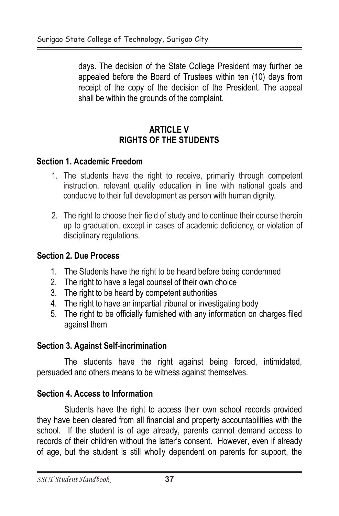appealed before the Board of Trustees within ten (10) days from receipt of the copy of the decision of the President. The appeal shall be within the grounds of the complaint. shall be maintained grounded that compraints days. The decision of the State College President may further be

## RIGHTS OF THE STUDENTS **ARTICLE V**

#### e de la construcción de la construcción de la construcción de la construcción de la construcción de la construcción de la construcción de la construcción de la construcción de la construcción de la construcción de la const **Section 1. Academic Freedom**

- 1. The students have the 1. The students have the right to receive, primarily through competent instruction, relevant quality education in line with national goals and conducive to their full development as person with human dignity.
- disciplinary regulations. 2. The right to choose their field of study and to continue their course therein up to graduation, except in cases of academic deficiency, or violation of

#### Section 2. Due Process **Section 2. Section 2.**  $\mathsf{R}$  at the set  $\mathsf{R}$  . Recall the set of  $\mathsf{R}$

- 1. The Students have the right to be heard before being condemned
- 1. The students have the right to be rieard before being<br>2. The right to have a legal counsel of their own choice  $\sim$   $\sim$  1116 Hym to have a legal counsel of their own cl
- 2. The right to be heard by competent authorities
- 3. The right to be rieard by competent additiones<br>4. The right to have an impartial tribunal or investigating body
- 4. The right to have an impartial tribunal or investigating body<br>5. The right to be officially furnished with any information on charges filed against them  $\alpha$  $1116$   $11911$  to b

#### Section 3. Against Self-incrimination  $\mathsf{R}$  as the  $\mathsf{R}$  -  $\mathsf{A}$  as in a final  $\mathsf{R}$  is a similar than

The students have the right against being forced, intimidated, persuaded and others means to be witness against themselves. The students have the right against being force

#### Section 4. Access to Information Section Assembly to a section 4.  $\sim$   $\frac{1}{2}$   $\sim$   $\sim$   $\sim$   $\sim$   $\sim$

<u>12 - John Harrison, mars and de la partie de la partie de la partie de la partie de la partie de la partie de</u>

Students have the right to access their own school records provided subdents have the right to access their own school records provided<br>they have been cleared from all financial and property accountabilities with the they have been cleared from an infancial and property accountabilities with the<br>school. If the student is of age already, parents cannot demand access to scribbit. In the student is of age already, parents cannot definant access to<br>records of their children without the latter's consent. However, even if already records of their childrent without the latter's consent. Thowever, even if already<br>of age, but the student is still wholly dependent on parents for support, the or age, but the student is still wholly de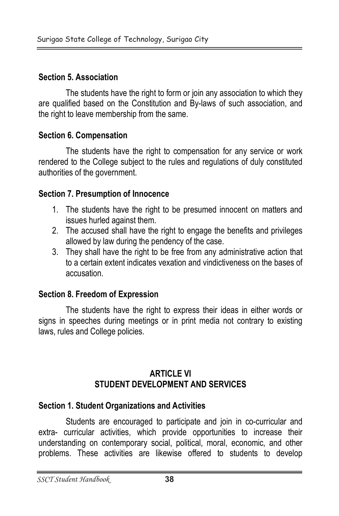#### **Section 5. Association**

The students have the right to form or join any association to which they are qualified based on the Constitution and By-laws of such association, and the right to leave membership from the same.

#### **Section 6. Compensation**

The students have the right to compensation for any service or work rendered to the College subject to the rules and regulations of duly constituted authorities of the government.

#### **Section 7. Presumption of Innocence**

- 1. The students have the right to be presumed innocent on matters and issues hurled against them.
- 2. The accused shall have the right to engage the benefits and privileges allowed by law during the pendency of the case.
- 3. They shall have the right to be free from any administrative action that to a certain extent indicates vexation and vindictiveness on the bases of accusation

#### **Section 8. Freedom of Expression**

The students have the right to express their ideas in either words or signs in speeches during meetings or in print media not contrary to existing laws, rules and College policies.

#### **ARTICLE VI STUDENT DEVELOPMENT AND SERVICES**

#### **Section 1. Student Organizations and Activities**

Students are encouraged to participate and join in co-curricular and extra- curricular activities, which provide opportunities to increase their understanding on contemporary social, political, moral, economic, and other problems. These activities are likewise offered to students to develop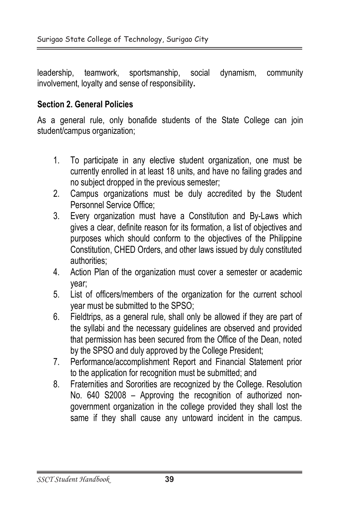leadership, teamwork, sportsmanship, social dynamism, community involvement, loyalty and sense of responsibility. readership, reamwork, sportsmariship, social dynamism, community involvement, loyalty and sense of responsibility.

# Section 2. General Policies

As a general rule, only bonafide students of the State College can join student/campus organization; creative cemperate generation,

- $\mathbf{r} = \mathbf{r} \cdot \mathbf{r}$  , and the set of the set of the set of the set of the set of the set of the set of the set of the set of the set of the set of the set of the set of the set of the set of the set of the set of the 1. To participate in any elective student organization, one must be currently enrolled in at least 18 units, and have no failing grades and no subject dropped in the previous semester;
- 2. Campus organizations must be duly accredited by the Student Personnel Service Office; example and the service of the service of the service of the service of the service o
- 3. Every organization must have a Constitution and By-Laws which gives a clear, definite reason for its formation, a list of objectives and purposes which should conform to the objectives of the Philippine Constitution, CHED Orders, and other laws issued by duly constituted authorities; example and the state of the state of the state of the state of the state of the state of the state of the state of the state of the state of the state of the state of the state of the state of the state of th
- Artion Vestin that is and digenmental meet contract to exhibit the annual vesting 4. Action Plan of the organization must cover a semester or academic year;
- 5. List of officers/members of the organization for the current school year must be submitted to the SPSO;
- 6. Fieldtrips, as a general rule, shall only be allowed if they are part of  $\frac{1}{10}$  and  $\frac{1}{10}$  and  $\frac{1}{10}$  and  $\frac{1}{10}$  and  $\frac{1}{10}$  and  $\frac{1}{10}$  and  $\frac{1}{10}$  and  $\frac{1}{10}$  and  $\frac{1}{10}$  and  $\frac{1}{10}$  and  $\frac{1}{10}$  and  $\frac{1}{10}$  and  $\frac{1}{10}$  and  $\frac{1}{10}$  and  $\frac{1}{10}$  the syllabi and the necessary guidelines are observed and provided that permission has been secured from the Office of the Dean, noted by the SPSO and duly approved by the College President;
- 7. Performance/accomplishment Report and Financial Statement prior to the application for recognition must be submitted; and
- 8. Fraternities and Sororities are recognized by the College. Resolution No. 640 S2008 - Approving the recognition of authorized nongovernment organization in the college provided they shall lost the same if they shall cause any untoward incident in the campus.

## *SSCT Student Handbook* **39** 14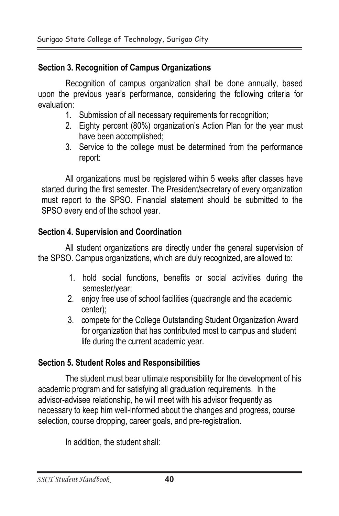## **Section 3. Recognition of Campus Organizations**

Recognition of campus organization shall be done annually, based upon the previous year's performance, considering the following criteria for evaluation:

- 1. Submission of all necessary requirements for recognition;
- 2. Eighty percent (80%) organization's Action Plan for the year must have been accomplished:
- 3. Service to the college must be determined from the performance report:

All organizations must be registered within 5 weeks after classes have started during the first semester. The President/secretary of every organization must report to the SPSO. Financial statement should be submitted to the SPSO every end of the school year.

#### **Section 4. Supervision and Coordination**

All student organizations are directly under the general supervision of the SPSO. Campus organizations, which are duly recognized, are allowed to:

- 1. hold social functions, benefits or social activities during the semester/year:
- 2. enjoy free use of school facilities (quadrangle and the academic center):
- 3. compete for the College Outstanding Student Organization Award for organization that has contributed most to campus and student life during the current academic year.

## **Section 5. Student Roles and Responsibilities**

The student must bear ultimate responsibility for the development of his academic program and for satisfying all graduation requirements. In the advisor-advisee relationship, he will meet with his advisor frequently as necessary to keep him well-informed about the changes and progress, course selection, course dropping, career goals, and pre-registration.

In addition, the student shall: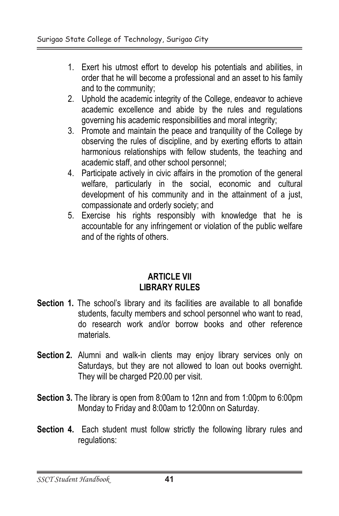- 1. Exert his utmost effort to develop his potentials and abilities, in order that he will become a professional and an asset to his family and to the community:
- 2. Uphold the academic integrity of the College, endeavor to achieve academic excellence and abide by the rules and regulations governing his academic responsibilities and moral integrity;
- 3. Promote and maintain the peace and tranguility of the College by observing the rules of discipline, and by exerting efforts to attain harmonious relationships with fellow students, the teaching and academic staff, and other school personnel:
- 4. Participate actively in civic affairs in the promotion of the general welfare, particularly in the social, economic and cultural development of his community and in the attainment of a just, compassionate and orderly society; and
- 5. Exercise his rights responsibly with knowledge that he is accountable for any infringement or violation of the public welfare and of the rights of others.

## **ARTICLE VII LIBRARY RULES**

- Section 1. The school's library and its facilities are available to all bonafide students, faculty members and school personnel who want to read, do research work and/or borrow books and other reference materials
- Section 2. Alumni and walk-in clients may enjoy library services only on Saturdays, but they are not allowed to loan out books overnight. They will be charged P20.00 per visit.
- Section 3. The library is open from 8:00am to 12nn and from 1:00pm to 6:00pm Monday to Friday and 8:00am to 12:00nn on Saturday.
- Section 4. Each student must follow strictly the following library rules and requlations:

*SSCT Student Handbook* **41** 16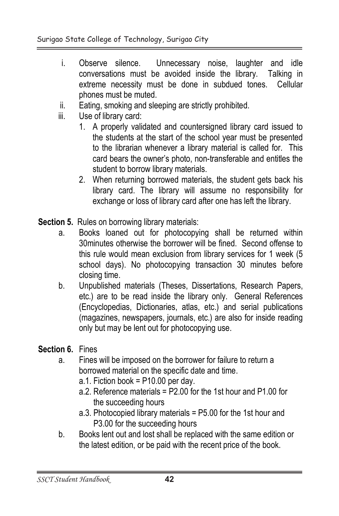- i. Observe silence. Unnecessary noise, laughter and idle conversations must be avoided inside the library. Talking in extreme necessity must be done in subdued tones. Cellular phones must be muted.
- ii. Eating, smoking and sleeping are strictly prohibited.
- iii. Use of library card:
	- 1. A properly validated and countersigned library card issued to the students at the start of the school year must be presented to the librarian whenever a library material is called for. This card bears the owner's photo, non-transferable and entitles the student to borrow library materials.
	- 2. When returning borrowed materials, the student gets back his library card. The library will assume no responsibility for exchange or loss of library card after one has left the library.
- **Section 5.** Rules on borrowing library materials:
	- a. Books loaned out for photocopying shall be returned within 30 minutes otherwise the borrower will be fined. Second offense to this rule would mean exclusion from library services for 1 week (5 school days). No photocopying transaction 30 minutes before closing time.
	- b. Unpublished materials (Theses, Dissertations, Research Papers, etc.) are to be read inside the library only. General References (Encyclopedias, Dictionaries, atlas, etc.) and serial publications (magazines, newspapers, journals, etc.) are also for inside reading only but may be lent out for photocopying use.

## Section 6. Fines

- a. Fines will be imposed on the borrower for failure to return a borrowed material on the specific date and time.
	- $a.1.$  Fiction book = P10.00 per day.
	- a.2. Reference materials = P2.00 for the 1st hour and P1.00 for the succeeding hours
	- a.3. Photocopied library materials = P5.00 for the 1st hour and P3.00 for the succeeding hours
- b. Books lent out and lost shall be replaced with the same edition or the latest edition, or be paid with the recent price of the book.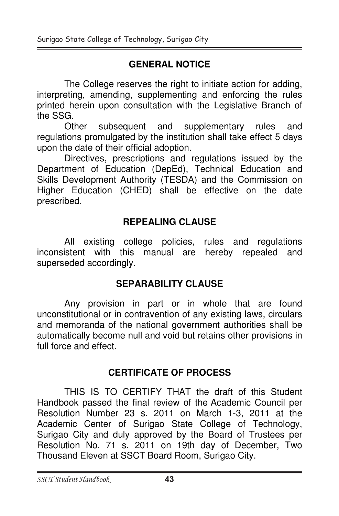## **GENERAL NOTICE**

 The College reserves the right to initiate action for adding, interpreting, amending, supplementing and enforcing the rules printed herein upon consultation with the Legislative Branch of the SSG.

 Other subsequent and supplementary rules and regulations promulgated by the institution shall take effect 5 days upon the date of their official adoption.

 Directives, prescriptions and regulations issued by the Department of Education (DepEd), Technical Education and Skills Development Authority (TESDA) and the Commission on Higher Education (CHED) shall be effective on the date prescribed.

## **REPEALING CLAUSE**

All existing college policies, rules and regulations inconsistent with this manual are hereby repealed and superseded accordingly.  $\text{es}, \quad \text{rules} \quad \text{and} \quad \text{regularities}$ are nereby repealed and

#### **SEPARABILITY CLAUSE** Other subsequent and supplementary rules and

Any provision in part or in whole that are found which the part of the whole that are found<br>unconstitutional or in contravention of any existing laws, circulars and memoranda of the national government authorities shall be and memoranda of the national government authorities shall be and memoranda or the national government admonties shall be automatically become null and void but retains other provisions in full force and effect. Surforms Office provisions in

## **CERTIFICATE OF PROCESS**

THIS IS TO CERTIFY THAT the draft of this Student Handbook passed the final review of the Academic Council per Resolution Number 23 s. 2011 on March 1-3, 2011 at the Academic Center of Surigao State College of Technology, Surigao City and duly approved by the Board of Trustees per Resolution No. 71 s. 2011 on 19th day of December, Two Thousand Eleven at SSCT Board Room, Surigao City. Any provision in part or in whole that are found

*SSCT Student Handbook* **43** 18

unconstitutional or in contravention or in contravention of any existing laws, circulars laws, circulars in co